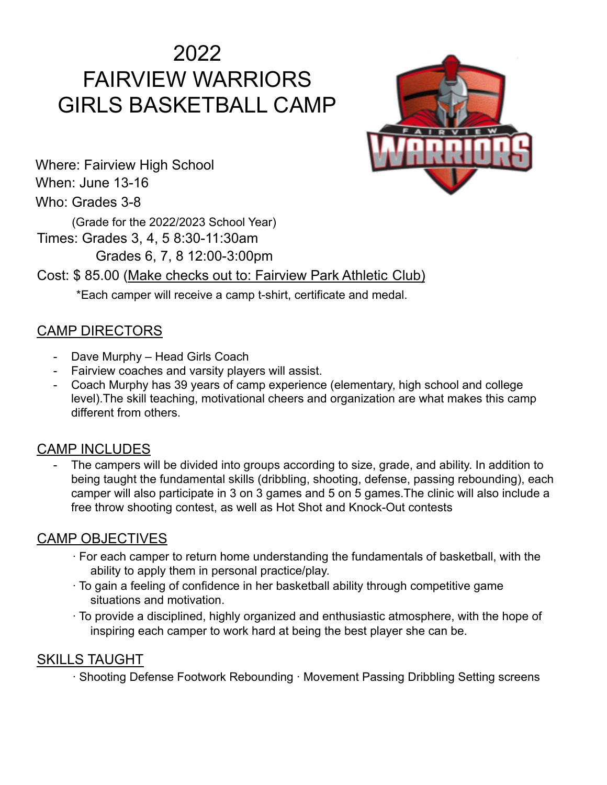# 2022 FAIRVIEW WARRIORS GIRLS BASKETBALL CAMP



Where: Fairview High School When: June 13-16 Who: Grades 3-8

(Grade for the 2022/2023 School Year)

Times: Grades 3, 4, 5 8:30-11:30am Grades 6, 7, 8 12:00-3:00pm

Cost: \$ 85.00 (Make checks out to: Fairview Park Athletic Club)

\*Each camper will receive a camp t-shirt, certificate and medal.

# CAMP DIRECTORS

- Dave Murphy Head Girls Coach
- Fairview coaches and varsity players will assist.
- Coach Murphy has 39 years of camp experience (elementary, high school and college level).The skill teaching, motivational cheers and organization are what makes this camp different from others.

### CAMP INCLUDES

The campers will be divided into groups according to size, grade, and ability. In addition to being taught the fundamental skills (dribbling, shooting, defense, passing rebounding), each camper will also participate in 3 on 3 games and 5 on 5 games.The clinic will also include a free throw shooting contest, as well as Hot Shot and Knock-Out contests

# CAMP OBJECTIVES

- ∙ For each camper to return home understanding the fundamentals of basketball, with the ability to apply them in personal practice/play.
- ∙ To gain a feeling of confidence in her basketball ability through competitive game situations and motivation.
- ∙ To provide a disciplined, highly organized and enthusiastic atmosphere, with the hope of inspiring each camper to work hard at being the best player she can be.

### SKILLS TAUGHT

∙ Shooting Defense Footwork Rebounding ∙ Movement Passing Dribbling Setting screens